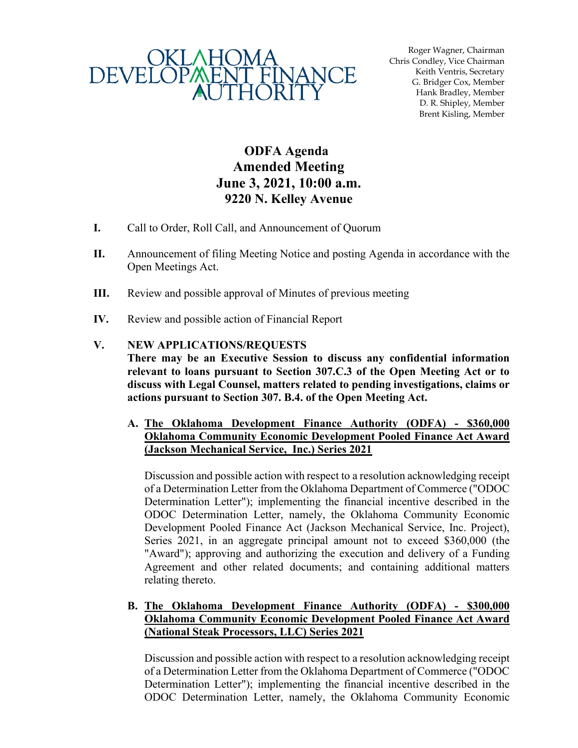

Roger Wagner, Chairman Chris Condley, Vice Chairman Keith Ventris, Secretary G. Bridger Cox, Member Hank Bradley, Member D. R. Shipley, Member Brent Kisling, Member

# **ODFA Agenda Amended Meeting June 3, 2021, 10:00 a.m. 9220 N. Kelley Avenue**

- **I.** Call to Order, Roll Call, and Announcement of Quorum
- **II.** Announcement of filing Meeting Notice and posting Agenda in accordance with the Open Meetings Act.
- **III.** Review and possible approval of Minutes of previous meeting
- **IV.** Review and possible action of Financial Report

#### **V. NEW APPLICATIONS/REQUESTS**

**There may be an Executive Session to discuss any confidential information relevant to loans pursuant to Section 307.C.3 of the Open Meeting Act or to discuss with Legal Counsel, matters related to pending investigations, claims or actions pursuant to Section 307. B.4. of the Open Meeting Act.**

**A. The Oklahoma Development Finance Authority (ODFA) - \$360,000 Oklahoma Community Economic Development Pooled Finance Act Award (Jackson Mechanical Service, Inc.) Series 2021**

Discussion and possible action with respect to a resolution acknowledging receipt of a Determination Letter from the Oklahoma Department of Commerce ("ODOC Determination Letter"); implementing the financial incentive described in the ODOC Determination Letter, namely, the Oklahoma Community Economic Development Pooled Finance Act (Jackson Mechanical Service, Inc. Project), Series 2021, in an aggregate principal amount not to exceed \$360,000 (the "Award"); approving and authorizing the execution and delivery of a Funding Agreement and other related documents; and containing additional matters relating thereto.

#### **B. The Oklahoma Development Finance Authority (ODFA) - \$300,000 Oklahoma Community Economic Development Pooled Finance Act Award (National Steak Processors, LLC) Series 2021**

Discussion and possible action with respect to a resolution acknowledging receipt of a Determination Letter from the Oklahoma Department of Commerce ("ODOC Determination Letter"); implementing the financial incentive described in the ODOC Determination Letter, namely, the Oklahoma Community Economic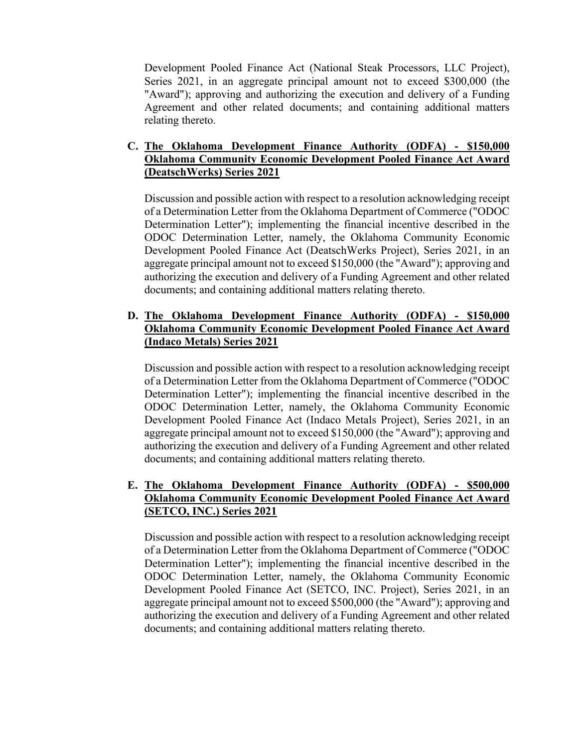Development Pooled Finance Act (National Steak Processors, LLC Project), Series 2021, in an aggregate principal amount not to exceed \$300,000 (the "Award"); approving and authorizing the execution and delivery of a Funding Agreement and other related documents; and containing additional matters relating thereto.

#### **C. The Oklahoma Development Finance Authority (ODFA) - \$150,000 Oklahoma Community Economic Development Pooled Finance Act Award (DeatschWerks) Series 2021**

Discussion and possible action with respect to a resolution acknowledging receipt of a Determination Letter from the Oklahoma Department of Commerce ("ODOC Determination Letter"); implementing the financial incentive described in the ODOC Determination Letter, namely, the Oklahoma Community Economic Development Pooled Finance Act (DeatschWerks Project), Series 2021, in an aggregate principal amount not to exceed \$150,000 (the "Award"); approving and authorizing the execution and delivery of a Funding Agreement and other related documents; and containing additional matters relating thereto.

# **D. The Oklahoma Development Finance Authority (ODFA) - \$150,000 Oklahoma Community Economic Development Pooled Finance Act Award (Indaco Metals) Series 2021**

Discussion and possible action with respect to a resolution acknowledging receipt of a Determination Letter from the Oklahoma Department of Commerce ("ODOC Determination Letter"); implementing the financial incentive described in the ODOC Determination Letter, namely, the Oklahoma Community Economic Development Pooled Finance Act (Indaco Metals Project), Series 2021, in an aggregate principal amount not to exceed \$150,000 (the "Award"); approving and authorizing the execution and delivery of a Funding Agreement and other related documents; and containing additional matters relating thereto.

# **E. The Oklahoma Development Finance Authority (ODFA) - \$500,000 Oklahoma Community Economic Development Pooled Finance Act Award (SETCO, INC.) Series 2021**

Discussion and possible action with respect to a resolution acknowledging receipt of a Determination Letter from the Oklahoma Department of Commerce ("ODOC Determination Letter"); implementing the financial incentive described in the ODOC Determination Letter, namely, the Oklahoma Community Economic Development Pooled Finance Act (SETCO, INC. Project), Series 2021, in an aggregate principal amount not to exceed \$500,000 (the "Award"); approving and authorizing the execution and delivery of a Funding Agreement and other related documents; and containing additional matters relating thereto.